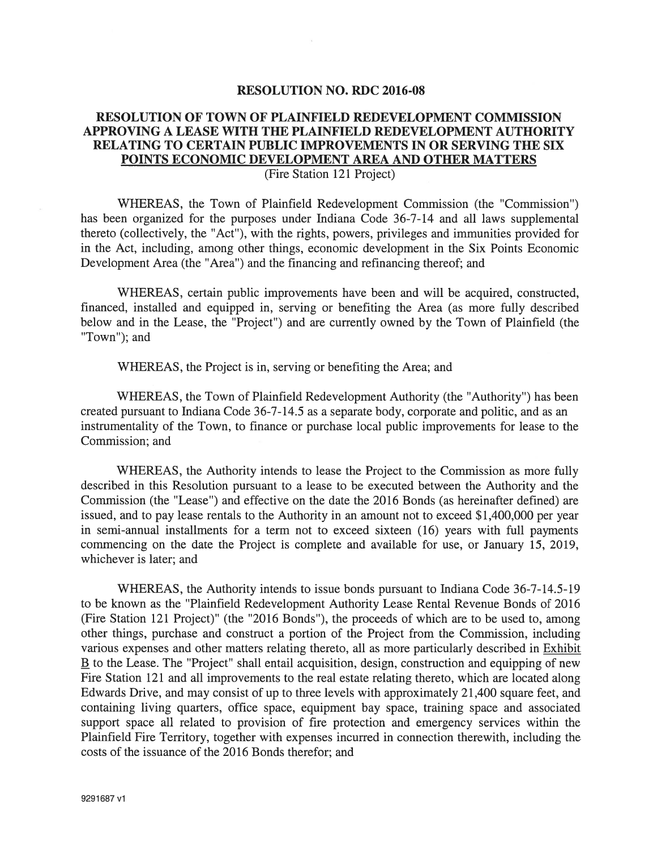## RESOLUTION NO. RDC 2016-08

## RESOLUTION OF TOWN OF PLAINFIELD REDEVELOPMENT COMMISSION APPROVING A LEASE WITH THE PLAINFIELD REDEVELOPMENT AUTHORITY RELATING TO CERTAIN PUBLIC IMPROVEMENTS IN OR SERVING THE SIX POINTS ECONOMIC DEVELOPMENT AREA AND OTHER MATTERS (Fire Station 121 Project)

WHEREAS, the Town of Plainfield Redevelopment Commission (the "Commission") has been organized for the purposes under Indiana Code 36-7-14 and all laws supplemental thereto (collectively, the "Act"), with the rights, powers, privileges and immunities provided for in the Act, including, among other things, economic development in the Six Points Economic Development Area (the "Area") and the financing and refinancing thereof; and

WHEREAS, certain public improvements have been and will be acquired, constructed, financed, installed and equipped in, serving or benefiting the Area (as more fully described below and in the Lease, the "Project") and are currently owned by the Town of Plainfield (the "Town"); and

WHEREAS, the Project is in, serving or benefiting the Area; and

WHEREAS, the Town of Plainfield Redevelopment Authority (the "Authority") has been created pursuan<sup>t</sup> to Indiana Code 36-7-14.5 as <sup>a</sup> separate body, corporate and politic, and as an instrumentality of the Town, to finance or purchase local public improvements for lease to the Commission; and

WHEREAS, the Authority intends to lease the Project to the Commission as more fully described in this Resolution pursuan<sup>t</sup> to <sup>a</sup> lease to be executed between the Authority and the Commission (the "Lease") and effective on the date the 2016 Bonds (as hereinafter defined) are issued, and to pay lease rentals to the Authority in an amount not to exceed \$1,400,000 per year in semi-annual installments for <sup>a</sup> term not to exceed sixteen (16) years with full payments commencing on the date the Project is complete and available for use, or January 15, 2019, whichever is later; and

WHEREAS, the Authority intends to issue bonds pursuan<sup>t</sup> to Indiana Code 36-7-14.5-19 to be known as the "Plainfield Redevelopment Authority Lease Rental Revenue Bonds of 2016 (Fire Station 121 Project)" (the "2016 Bonds"), the proceeds of which are to be used to, among other things, purchase and construct <sup>a</sup> portion of the Project from the Commission, including various expenses and other matters relating thereto, all as more particularly described in Exhibit B to the Lease. The "Project" shall entail acquisition, design, construction and equipping of new Fire Station 121 and all improvements to the real estate relating thereto, which are located along Edwards Drive, and may consist of up to three levels with approximately 21,400 square feet, and containing living quarters, office space, equipment bay space, training space and associated suppor<sup>t</sup> space all related to provision of fire protection and emergency services within the Plainfield Fire Territory, together with expenses incurred in connection therewith, including the costs of the issuance of the 2016 Bonds therefor; and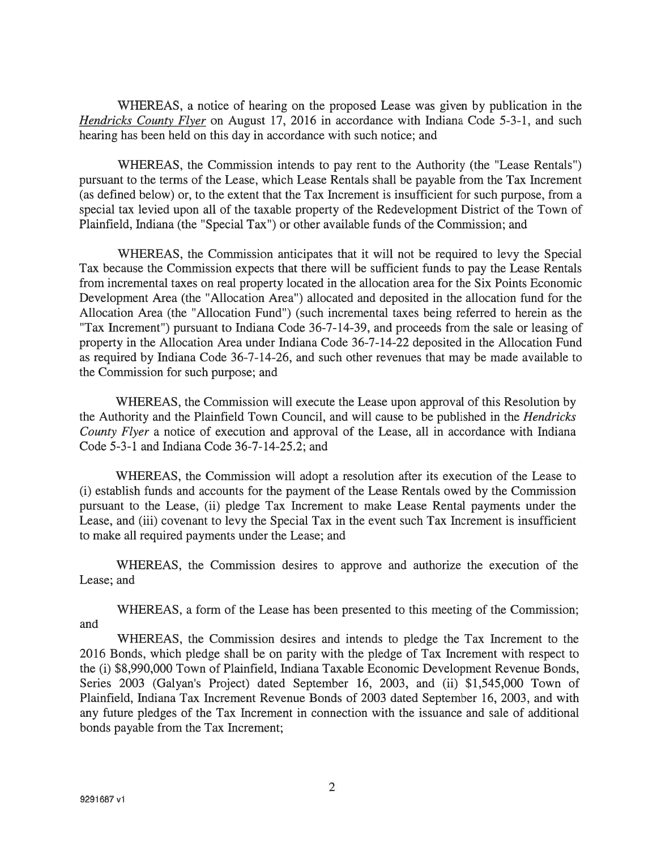WHEREAS, <sup>a</sup> notice of hearing on the proposed Lease was given by publication in the Hendricks County Flyer on August 17, 2016 in accordance with Indiana Code 5-3-1, and such hearing has been held on this day in accordance with such notice; and

WHEREAS, the Commission intends to pay rent to the Authority (the 'Lease Rentals") pursuan<sup>t</sup> to the terms of the Lease, which Lease Rentals shall be payable from the Tax Increment (as defined below) or, to the extent that the Tax Increment is insufficient for such purpose, from <sup>a</sup> special tax levied upon all of the taxable property of the Redevelopment District of the Town of Plainfield, Indiana (the "Special Tax") or other available funds of the Commission; and

WHEREAS, the Commission anticipates that it will not be required to levy the Special Tax because the Commission expects that there will be sufficient funds to pay the Lease Rentals from incremental taxes on real property located in the allocation area for the Six Points Economic Development Area (the "Allocation Area") allocated and deposited in the allocation fund for the Allocation Area (the "Allocation Fund") (such incremental taxes being referred to herein as the "Tax Increment") pursuan<sup>t</sup> to Indiana Code 36-7-14-39, and proceeds from the sale or leasing of property in the Allocation Area under Indiana Code 36-7-14-22 deposited in the Allocation Fund as required by Indiana Code 36-7-14-26, and such other revenues that may be made available to the Commission for such purpose; and

WHEREAS, the Commission will execute the Lease upon approval of this Resolution by the Authority and the Plainfield Town Council, and will cause to be published in the Hendricks County Flyer <sup>a</sup> notice of execution and approval of the Lease, all in accordance with Indiana Code 5-3-1 and Indiana Code 36-7-14-25.2; and

WHEREAS, the Commission will adopt <sup>a</sup> resolution after its execution of the Lease to (i) establish funds and accounts for the paymen<sup>t</sup> of the Lease Rentals owed by the Commission pursuan<sup>t</sup> to the Lease, (ii) pledge Tax Increment to make Lease Rental payments under the Lease, and (iii) covenant to levy the Special Tax in the event such Tax Increment is insufficient to make all required payments under the Lease; and

WHEREAS, the Commission desires to approve and authorize the execution of the Lease; and

WHEREAS, <sup>a</sup> form of the Lease has been presented to this meeting of the Commission; and

WHEREAS, the Commission desires and intends to pledge the Tax Increment to the 2016 Bonds, which pledge shall be on parity with the pledge of Tax Increment with respec<sup>t</sup> to the (i) \$8,990,000 Town of Plainfield, Indiana Taxable Economic Development Revenue Bonds, Series 2003 (Galyan's Project) dated September 16, 2003, and (ii) \$1,545,000 Town of Plainfield, Indiana Tax Increment Revenue Bonds of 2003 dated September 16, 2003, and with any future pledges of the Tax Increment in connection with the issuance and sale of additional bonds payable from the Tax Increment;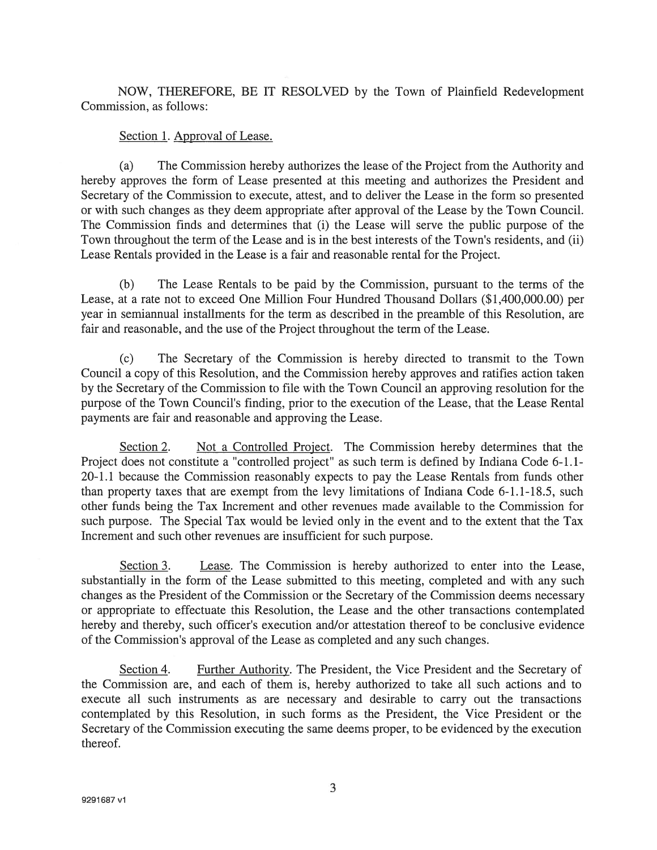NOW, THEREFORE, BE IT RESOLVED by the Town of Plainfield Redevelopment Commission, as follows:

## Section 1. Approval of Lease.

(a) The Commission hereby authorizes the lease of the Project from the Authority and hereby approves the form of Lease presented at this meeting and authorizes the President and Secretary of the Commission to execute, attest, and to deliver the Lease in the form so presented or with such changes as they deem appropriate after approval of the Lease by the Town Council. The Commission finds and determines that (i) the Lease will serve the public purpose of the Town throughout the term of the Lease and is in the best interests of the Town's residents, and (ii) Lease Rentals provided in the Lease is <sup>a</sup> fair and reasonable rental for the Project.

(b) The Lease Rentals to be paid by the Commission, pursuan<sup>t</sup> to the terms of the Lease, at <sup>a</sup> rate not to exceed One Million Four Hundred Thousand Dollars (\$1,400,000.00) per year in semiannual installments for the term as described in the preamble of this Resolution, are fair and reasonable, and the use of the Project throughout the term of the Lease.

(c) The Secretary of the Commission is hereby directed to transmit to the Town Council <sup>a</sup> copy of this Resolution, and the Commission hereby approves and ratifies action taken by the Secretary of the Commission to file with the Town Council an approving resolution for the purpose of the Town Council's finding, prior to the execution of the Lease, that the Lease Rental payments are fair and reasonable and approving the Lease.

Section 2. Not a Controlled Project. The Commission hereby determines that the Project does not constitute <sup>a</sup> "controlled project" as such term is defined by Indiana Code 6-1.1- 20-1.1 because the Commission reasonably expects to pay the Lease Rentals from funds other than property taxes that are exemp<sup>t</sup> from the levy limitations of Indiana Code 6-1.1-18.5, such other funds being the Tax Increment and other revenues made available to the Commission for such purpose. The Special Tax would be levied only in the event and to the extent that the Tax Increment and such other revenues are insufficient for such purpose.

Section 3. Lease. The Commission is hereby authorized to enter into the Lease, substantially in the form of the Lease submitted to this meeting, completed and with any such changes as the President of the Commission or the Secretary of the Commission deems necessary or appropriate to effectuate this Resolution, the Lease and the other transactions contemplated hereby and thereby, such officer's execution and/or attestation thereof to be conclusive evidence of the Commission's approval of the Lease as completed and any such changes.

Section 4. Further Authority. The President, the Vice President and the Secretary of the Commission are, and each of them is, hereby authorized to take all such actions and to execute all such instruments as are necessary and desirable to carry out the transactions contemplated by this Resolution, in such forms as the President, the Vice President or the Secretary of the Commission executing the same deems proper, to be evidenced by the execution thereof.

3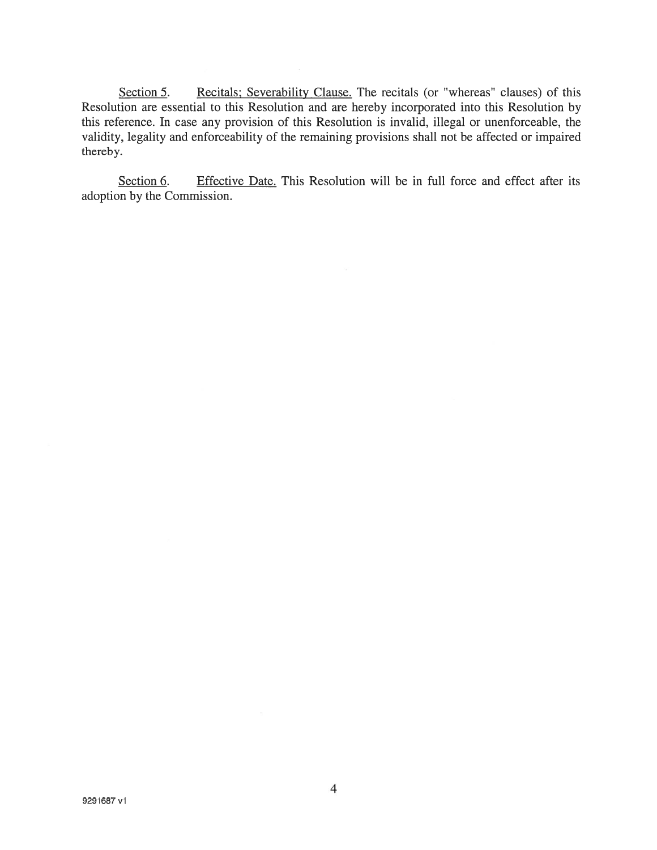Section 5. Recitals; Severability Clause. The recitals (or "whereas" clauses) of this Resolution are essential to this Resolution and are hereby incorporated into this Resolution by this reference. In case any provision of this Resolution is invalid, illegal or unenforceable, the validity, legality and enforceability of the remaining provisions shall not be affected or impaired thereby.

Section 6. Effective Date. This Resolution will be in full force and effect after its adoption by the Commission.